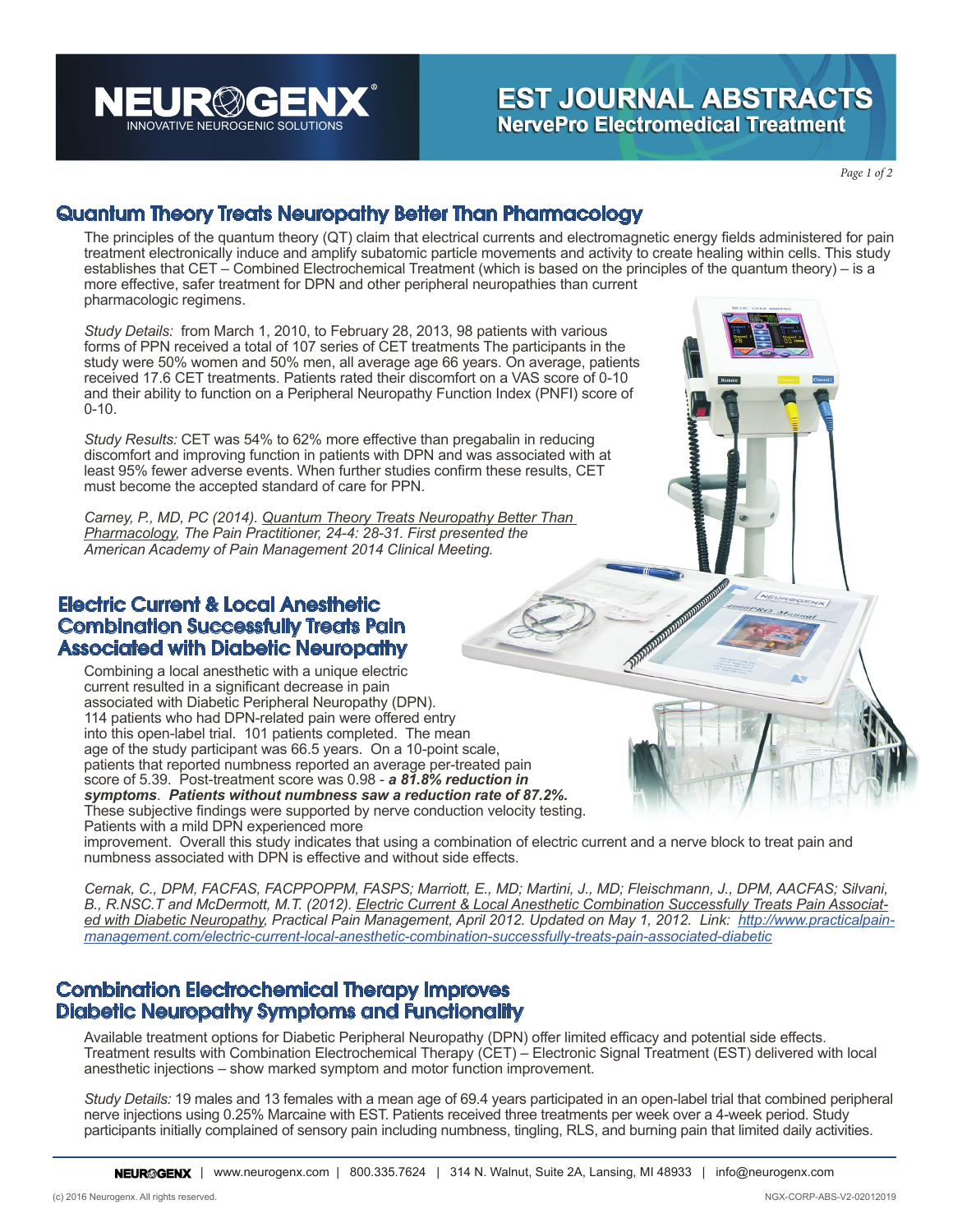RØÆ INNOVATIVE NEUROGENIC SOLUTIONS

# **EST JOURNAL ABSTRACTS NervePro Electromedical Treatment**

*Page 1 of 2*

### Quantum Theory Treats Neuropathy Better Than Pharmacology

The principles of the quantum theory (QT) claim that electrical currents and electromagnetic energy fields administered for pain treatment electronically induce and amplify subatomic particle movements and activity to create healing within cells. This study establishes that CET – Combined Electrochemical Treatment (which is based on the principles of the quantum theory) – is a more effective, safer treatment for DPN and other peripheral neuropathies than current pharmacologic regimens.

*Study Details:* from March 1, 2010, to February 28, 2013, 98 patients with various forms of PPN received a total of 107 series of CET treatments The participants in the study were 50% women and 50% men, all average age 66 years. On average, patients received 17.6 CET treatments. Patients rated their discomfort on a VAS score of 0-10 and their ability to function on a Peripheral Neuropathy Function Index (PNFI) score of 0-10.

*Study Results:* CET was 54% to 62% more effective than pregabalin in reducing discomfort and improving function in patients with DPN and was associated with at least 95% fewer adverse events. When further studies confirm these results, CET must become the accepted standard of care for PPN.

*Carney, P., MD, PC (2014). Quantum Theory Treats Neuropathy Better Than Pharmacology, The Pain Practitioner, 24-4: 28-31. First presented the American Academy of Pain Management 2014 Clinical Meeting.*

#### Electric Current & Local Anesthetic Combination Successfully Treats Pain Associated with Diabetic Neuropathy

Combining a local anesthetic with a unique electric current resulted in a significant decrease in pain associated with Diabetic Peripheral Neuropathy (DPN). 114 patients who had DPN-related pain were offered entry into this open-label trial. 101 patients completed. The mean age of the study participant was 66.5 years. On a 10-point scale, patients that reported numbness reported an average per-treated pain score of 5.39. Post-treatment score was 0.98 - *a 81.8% reduction in symptoms*. *Patients without numbness saw a reduction rate of 87.2%.* These subjective findings were supported by nerve conduction velocity testing. Patients with a mild DPN experienced more

improvement. Overall this study indicates that using a combination of electric current and a nerve block to treat pain and numbness associated with DPN is effective and without side effects.

*Cernak, C., DPM, FACFAS, FACPPOPPM, FASPS; Marriott, E., MD; Martini, J., MD; Fleischmann, J., DPM, AACFAS; Silvani, B., R.NSC.T and McDermott, M.T. (2012). Electric Current & Local Anesthetic Combination Successfully Treats Pain Associated with Diabetic Neuropathy, Practical Pain Management, April 2012. Updated on May 1, 2012. Link: http://www.practicalpainmanagement.com/electric-current-local-anesthetic-combination-successfully-treats-pain-associated-diabetic*

### Combination Electrochemical Therapy Improves Diabetic Neuropathy Symptoms and Functionality

Available treatment options for Diabetic Peripheral Neuropathy (DPN) offer limited efficacy and potential side effects. Treatment results with Combination Electrochemical Therapy (CET) – Electronic Signal Treatment (EST) delivered with local anesthetic injections – show marked symptom and motor function improvement.

*Study Details:* 19 males and 13 females with a mean age of 69.4 years participated in an open-label trial that combined peripheral nerve injections using 0.25% Marcaine with EST. Patients received three treatments per week over a 4-week period. Study participants initially complained of sensory pain including numbness, tingling, RLS, and burning pain that limited daily activities.